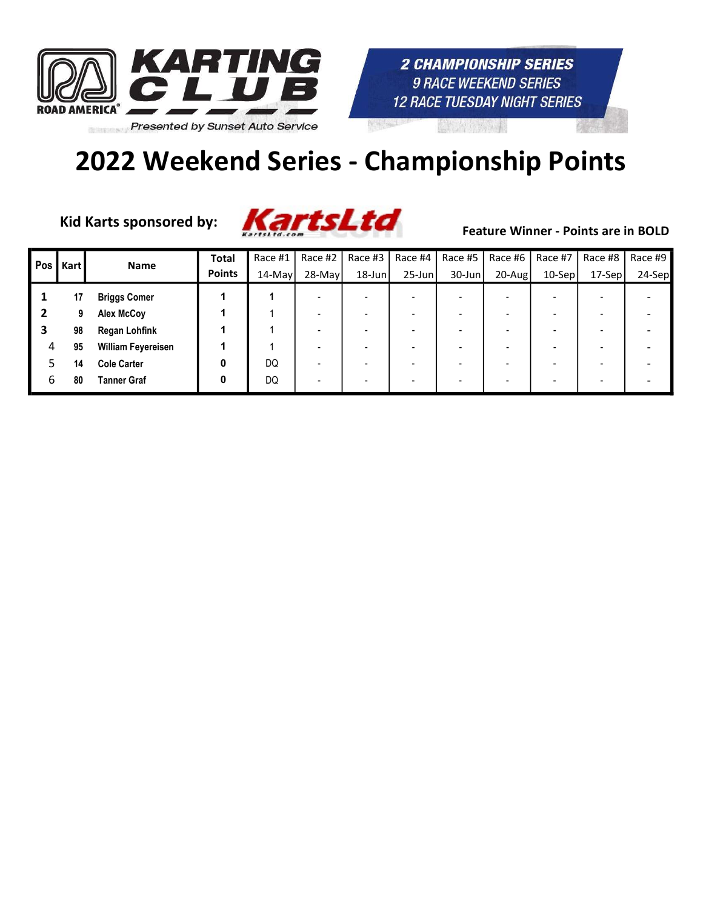

Kid Karts sponsored by:



| Pos I | Kart | <b>Name</b>               | <b>Total</b>  | Race #1   | Race #2   | Race #3   | Race #4   | Race #5   | Race #6    | Race #7  | Race #8  | Race #9 |
|-------|------|---------------------------|---------------|-----------|-----------|-----------|-----------|-----------|------------|----------|----------|---------|
|       |      |                           | <b>Points</b> | $14$ -May | $28$ -May | $18$ -Jun | $25$ -Jun | $30$ -Jun | $20 - Aug$ | $10-Sep$ | $17-Sep$ | 24-Sep  |
|       | 17   | <b>Briggs Comer</b>       |               |           |           |           |           |           |            |          |          |         |
|       |      | Alex McCoy                |               |           |           |           |           |           |            |          |          |         |
| 3     | 98   | <b>Regan Lohfink</b>      |               |           |           |           |           |           |            |          |          |         |
| 4     | 95   | <b>William Feyereisen</b> |               |           |           |           |           |           |            |          |          |         |
|       | 14   | <b>Cole Carter</b>        | 0             | DQ        |           |           |           |           |            |          |          |         |
| 6     | 80   | <b>Tanner Graf</b>        | 0             | DQ        |           |           |           |           |            |          |          |         |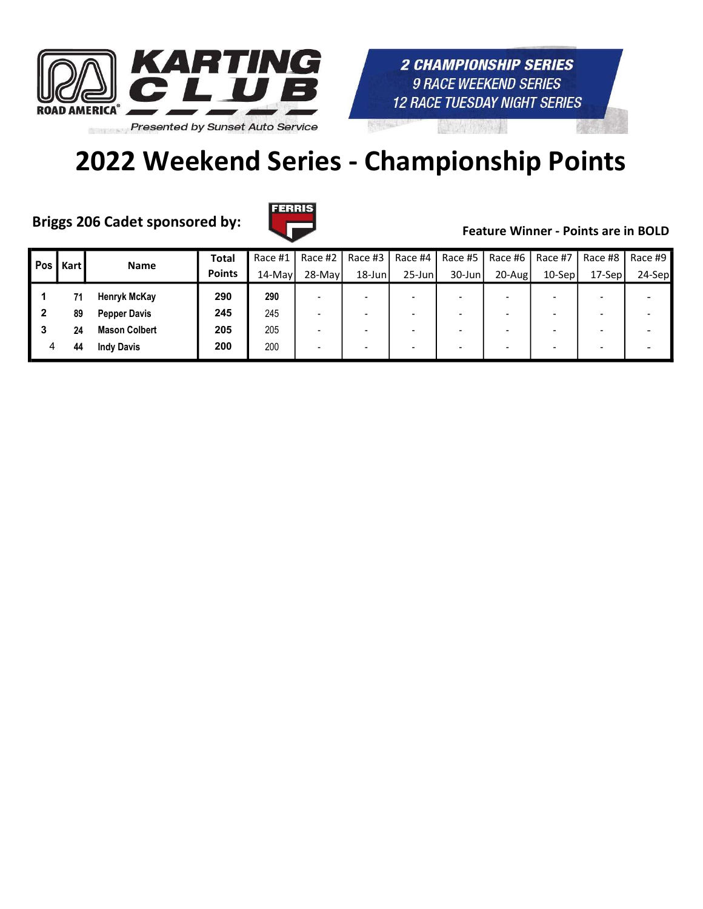

# 2022 Weekend Series - Championship Points

Briggs 206 Cadet sponsored by:



| Pos | <b>Kart</b> | Name                 | <b>Total</b>  | Race #1 | Race #2                  | Race #3   | Race #4                  | Race #5   | Race #6    | Race #7   | Race #8                  | Race #9 |
|-----|-------------|----------------------|---------------|---------|--------------------------|-----------|--------------------------|-----------|------------|-----------|--------------------------|---------|
|     |             |                      | <b>Points</b> | 14-May  | 28-May                   | $18$ -Jun | $25$ -Jun                | $30$ -Jun | $20 - Aug$ | $10-$ Sep | $17-Sep$                 | 24-Sep  |
|     |             | <b>Henryk McKay</b>  | 290           | 290     |                          |           | $\overline{\phantom{0}}$ |           |            |           | $\overline{\phantom{a}}$ |         |
|     | 89          | <b>Pepper Davis</b>  | 245           | 245     |                          |           |                          |           |            |           | $\overline{\phantom{a}}$ |         |
|     | 24          | <b>Mason Colbert</b> | 205           | 205     |                          |           |                          |           |            |           |                          |         |
| 4   | 44          | <b>Indy Davis</b>    | 200           | 200     | $\overline{\phantom{0}}$ |           |                          |           |            |           | $\overline{\phantom{a}}$ |         |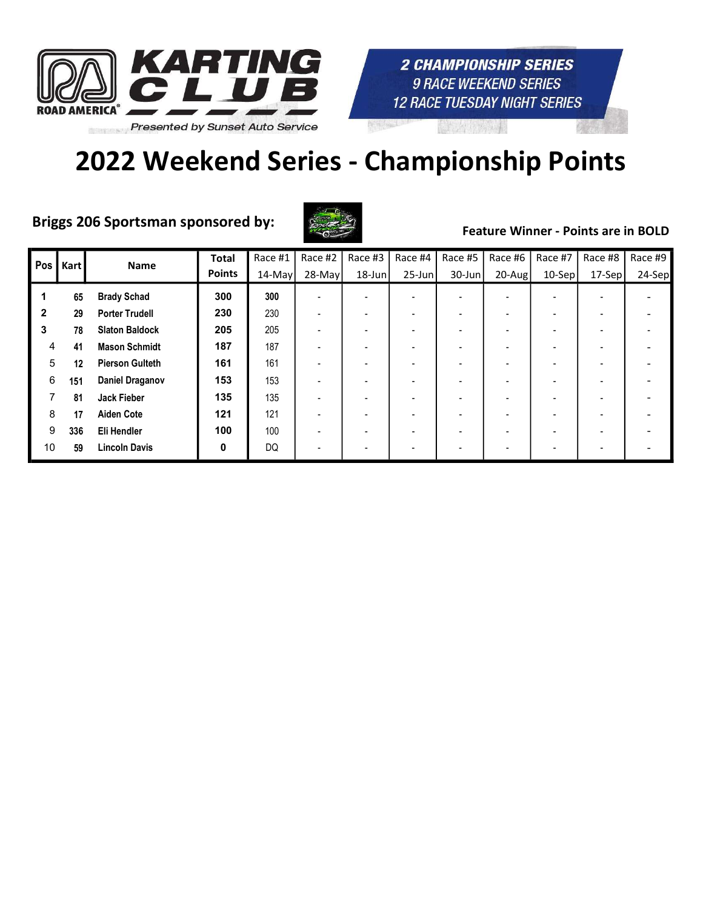

# 2022 Weekend Series - Championship Points

Briggs 206 Sportsman sponsored by:



| Pos          | Kart | <b>Name</b>            | <b>Total</b>  | Race #1 | Race #2                  | Race #3 | Race #4                  | Race #5   | Race #6                  | Race #7   | Race #8                  | Race #9 |
|--------------|------|------------------------|---------------|---------|--------------------------|---------|--------------------------|-----------|--------------------------|-----------|--------------------------|---------|
|              |      |                        | <b>Points</b> | 14-May  | 28-May                   | 18-Jun  | $25$ -Jun                | $30$ -Jun | $20$ -Aug                | $10-$ Sep | $17-Sep$                 | 24-Sep  |
| 1            | 65   | <b>Brady Schad</b>     | 300           | 300     | $\overline{\phantom{a}}$ |         | $\overline{\phantom{a}}$ |           | $\overline{\phantom{0}}$ |           |                          |         |
| $\mathbf{2}$ | 29   | <b>Porter Trudell</b>  | 230           | 230     | $\overline{\phantom{a}}$ |         | $\overline{\phantom{a}}$ |           | $\overline{\phantom{0}}$ |           | $\overline{\phantom{0}}$ |         |
| 3            | 78   | <b>Slaton Baldock</b>  | 205           | 205     |                          |         | $\overline{\phantom{a}}$ |           | ۰                        |           | $\overline{\phantom{0}}$ |         |
| 4            | 41   | <b>Mason Schmidt</b>   | 187           | 187     |                          |         |                          |           |                          |           |                          |         |
| 5            | 12   | <b>Pierson Gulteth</b> | 161           | 161     |                          |         | $\overline{\phantom{0}}$ |           |                          |           |                          |         |
| 6            | 151  | <b>Daniel Draganov</b> | 153           | 153     |                          |         | $\overline{\phantom{0}}$ |           |                          |           |                          |         |
| 7            | 81   | <b>Jack Fieber</b>     | 135           | 135     |                          |         | $\overline{\phantom{0}}$ |           |                          |           |                          |         |
| 8            | 17   | <b>Aiden Cote</b>      | 121           | 121     |                          |         | $\overline{\phantom{0}}$ |           |                          |           |                          |         |
| 9            | 336  | Eli Hendler            | 100           | 100     |                          |         | $\overline{\phantom{0}}$ |           |                          |           |                          |         |
| 10           | 59   | <b>Lincoln Davis</b>   | 0             | DQ      |                          |         | $\overline{\phantom{0}}$ |           | $\overline{\phantom{0}}$ |           |                          |         |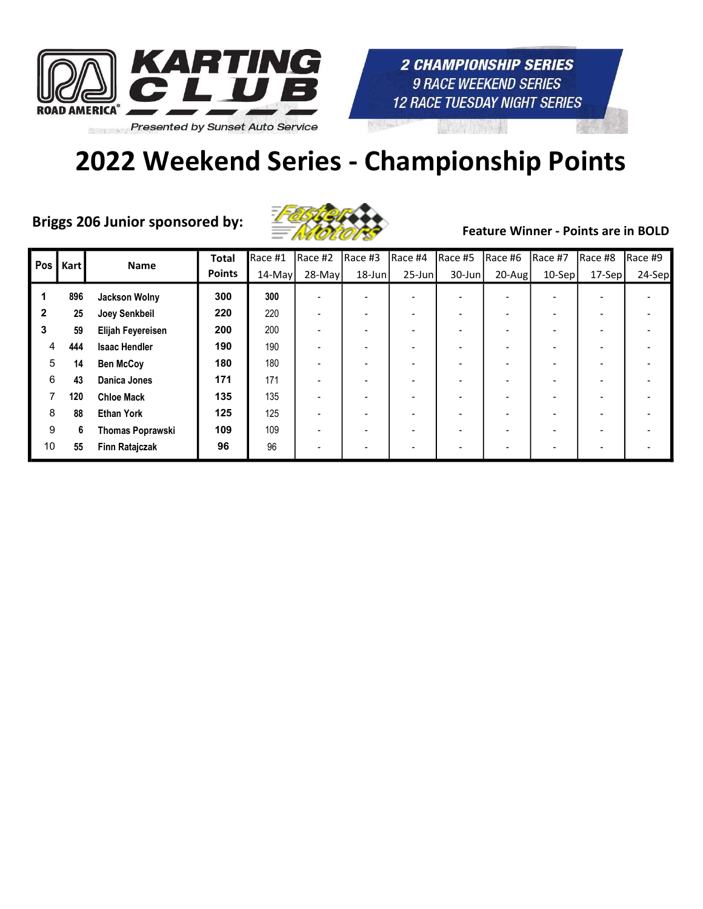



Briggs 206 Junior sponsored by:  $\frac{1}{2}$  of  $\frac{1}{2}$  Feature Winner - Points are in BOLD



| Pos          | Kart | <b>Name</b>             | <b>Total</b>  | Race #1   | Race #2   | Race #3   | Race #4    | Race #5 | Race #6   | Race #7  | Race #8  | Race #9 |
|--------------|------|-------------------------|---------------|-----------|-----------|-----------|------------|---------|-----------|----------|----------|---------|
|              |      |                         | <b>Points</b> | $14$ -May | $28$ -May | $18$ -Jun | $25 - Jun$ | 30-Jun  | $20$ -Aug | $10-Sep$ | $17-Sep$ | 24-Sep  |
|              | 896  | Jackson Wolny           | 300           | 300       |           |           |            |         |           |          |          |         |
| $\mathbf{2}$ | 25   | Joey Senkbeil           | 220           | 220       |           |           |            |         |           |          |          |         |
| 3            | 59   | Elijah Feyereisen       | 200           | 200       |           |           |            |         |           |          |          |         |
| 4            | 444  | <b>Isaac Hendler</b>    | 190           | 190       |           |           |            |         |           |          |          |         |
| 5            | 14   | <b>Ben McCoy</b>        | 180           | 180       |           |           |            |         |           |          |          |         |
| 6            | 43   | <b>Danica Jones</b>     | 171           | 171       |           |           |            |         |           |          |          |         |
|              | 120  | <b>Chloe Mack</b>       | 135           | 135       |           |           |            |         |           |          |          |         |
| 8            | 88   | <b>Ethan York</b>       | 125           | 125       |           |           |            |         |           |          |          |         |
| 9            | 6    | <b>Thomas Poprawski</b> | 109           | 109       |           |           |            |         |           |          |          |         |
| 10           | 55   | <b>Finn Ratajczak</b>   | 96            | 96        |           |           |            |         |           |          |          |         |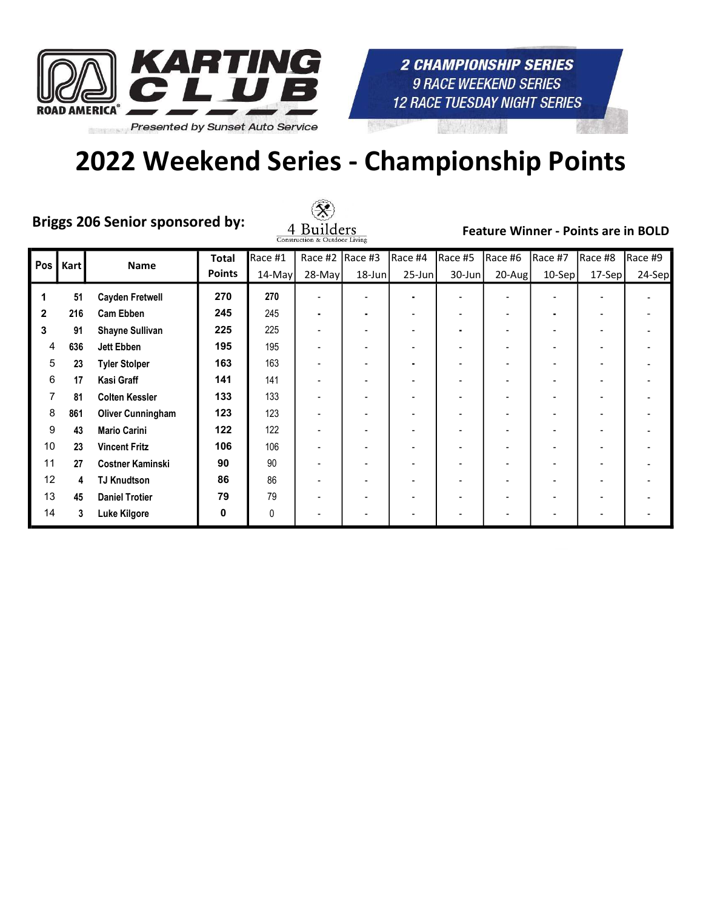

### 2022 Weekend Series - Championship Points

Briggs 206 Senior sponsored by:



| Pos          | <b>Kart</b> | Name                     | <b>Total</b>  | Race #1   | Race #2  | Race #3   | Race #4                  | Race #5   | Race #6   | Race #7  | Race #8 | Race #9 |
|--------------|-------------|--------------------------|---------------|-----------|----------|-----------|--------------------------|-----------|-----------|----------|---------|---------|
|              |             |                          | <b>Points</b> | $14$ -May | $28-May$ | $18$ -Jun | $25$ -Jun                | $30$ -Jun | $20$ -Aug | $10-Sep$ | 17-Sep  | 24-Sep  |
| 1            | 51          | <b>Cayden Fretwell</b>   | 270           | 270       |          |           | $\blacksquare$           |           |           |          |         |         |
| $\mathbf{2}$ | 216         | <b>Cam Ebben</b>         | 245           | 245       |          | ۰         | $\overline{\phantom{a}}$ |           |           |          | ٠       |         |
| 3            | 91          | <b>Shayne Sullivan</b>   | 225           | 225       |          |           |                          |           |           |          | ۰       |         |
| 4            | 636         | Jett Ebben               | 195           | 195       |          |           |                          |           |           |          | ٠       |         |
| 5            | 23          | <b>Tyler Stolper</b>     | 163           | 163       |          |           | $\blacksquare$           |           |           |          | ٠       |         |
| 6            | 17          | Kasi Graff               | 141           | 141       |          |           |                          |           |           |          |         |         |
| 7            | 81          | <b>Colten Kessler</b>    | 133           | 133       |          |           | $\overline{\phantom{a}}$ |           |           |          | ٠       |         |
| 8            | 861         | <b>Oliver Cunningham</b> | 123           | 123       |          |           |                          |           |           |          | ٠       |         |
| 9            | 43          | <b>Mario Carini</b>      | 122           | 122       |          |           |                          |           |           |          |         |         |
| 10           | 23          | <b>Vincent Fritz</b>     | 106           | 106       |          |           |                          |           |           |          | ۰       |         |
| 11           | 27          | <b>Costner Kaminski</b>  | 90            | 90        |          |           |                          |           |           |          |         |         |
| 12           | 4           | <b>TJ Knudtson</b>       | 86            | 86        |          |           | $\overline{\phantom{a}}$ |           |           |          | ٠       |         |
| 13           | 45          | <b>Daniel Trotier</b>    | 79            | 79        |          |           | $\overline{\phantom{a}}$ |           |           |          | ۰       |         |
| 14           | 3           | Luke Kilgore             | 0             | 0         |          |           |                          |           |           |          |         |         |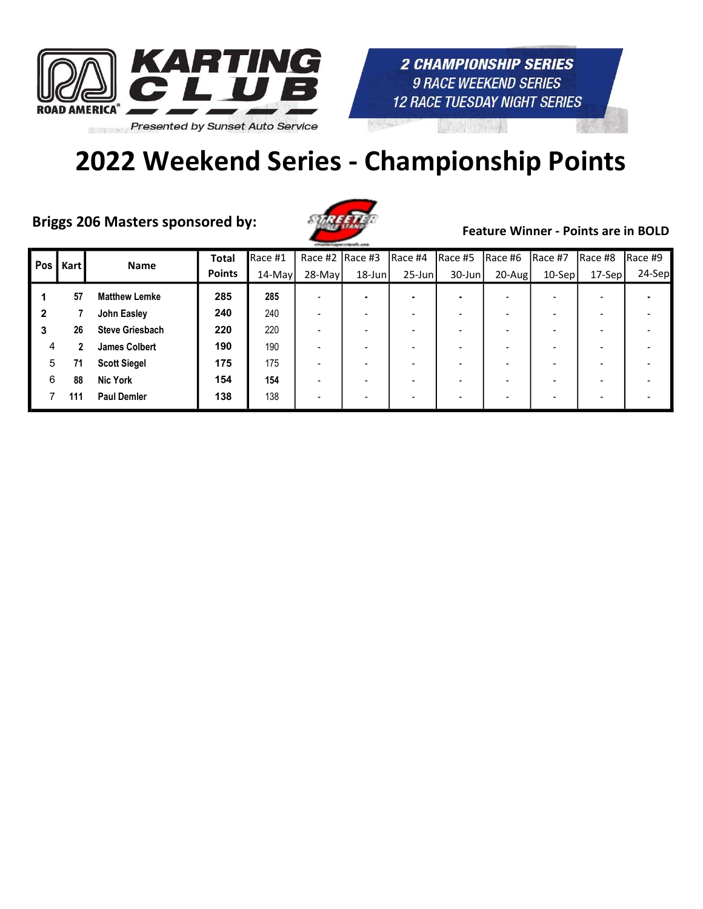

Briggs 206 Masters sponsored by:



| Pos | Kart | Name                   | <b>Total</b>  | Race #1   | Race #2 $ $ Race #3 |           | Race #4        | Race #5 | Race #6 | Race #7  | Race #8                  | Race #9 |
|-----|------|------------------------|---------------|-----------|---------------------|-----------|----------------|---------|---------|----------|--------------------------|---------|
|     |      |                        | <b>Points</b> | $14$ -May | $28$ -May           | $18$ -Jun | $25$ -Jun      | 30-Jun  | 20-Aug  | $10-Sep$ | $17-Sep$                 | 24-Sep  |
|     | 57   | <b>Matthew Lemke</b>   | 285           | 285       |                     |           | $\blacksquare$ |         |         |          |                          |         |
| 2   |      | John Easley            | 240           | 240       |                     |           |                |         |         |          |                          |         |
| 3   | 26   | <b>Steve Griesbach</b> | 220           | 220       |                     |           |                |         |         |          |                          |         |
| 4   | 2    | <b>James Colbert</b>   | 190           | 190       |                     |           |                |         |         |          | $\overline{\phantom{a}}$ |         |
| 5   | 71   | <b>Scott Siegel</b>    | 175           | 175       |                     |           |                |         |         |          |                          |         |
| 6   | 88   | <b>Nic York</b>        | 154           | 154       |                     |           |                |         |         |          |                          |         |
|     | 111  | <b>Paul Demler</b>     | 138           | 138       |                     |           |                |         |         |          |                          |         |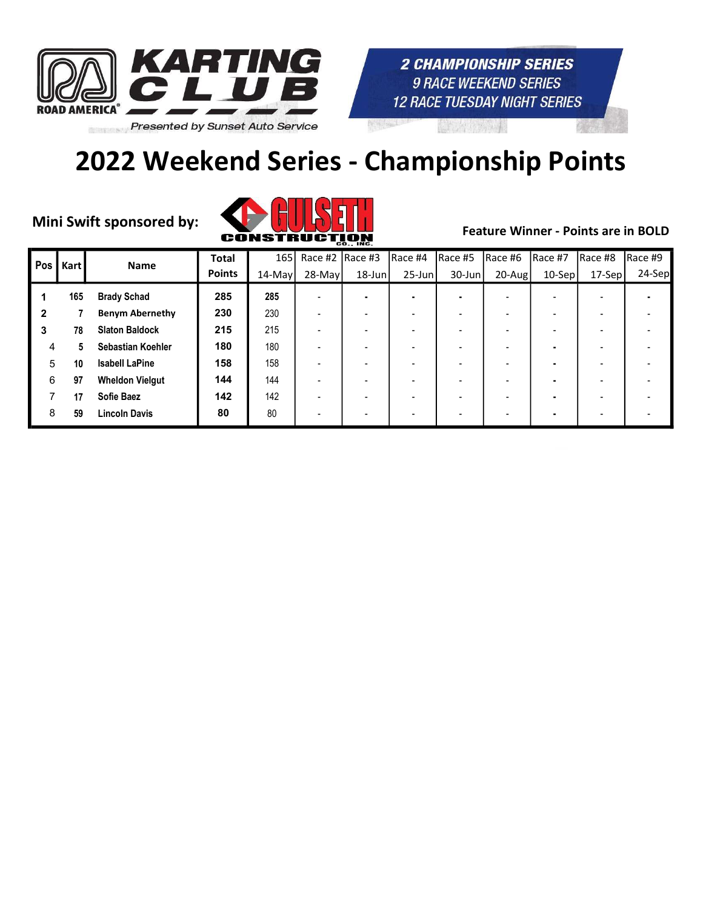

# 2022 Weekend Series - Championship Points



| Pos | <b>Kart</b> | <b>Name</b>            | <b>Total</b>  |           | 165 Race #2 Race #3 |           | Race #4        | Race #5   | Race #6                  | Race #7  | Race #8                  | Race #9 |
|-----|-------------|------------------------|---------------|-----------|---------------------|-----------|----------------|-----------|--------------------------|----------|--------------------------|---------|
|     |             |                        | <b>Points</b> | $14$ -May | $28$ -May           | $18$ -Jun | $25$ -Jun      | $30$ -Jun | 20-Aug                   | $10-Sep$ | $17-Sep$                 | 24-Sep  |
|     | 165         | <b>Brady Schad</b>     | 285           | 285       |                     |           | $\blacksquare$ |           | $\overline{\phantom{0}}$ |          |                          |         |
| 2   |             | <b>Benym Abernethy</b> | 230           | 230       |                     |           |                |           |                          |          |                          |         |
| 3   | 78          | <b>Slaton Baldock</b>  | 215           | 215       |                     |           |                |           |                          |          |                          |         |
| 4   | 5           | Sebastian Koehler      | 180           | 180       |                     |           |                |           |                          |          |                          |         |
| 5   | 10          | <b>Isabell LaPine</b>  | 158           | 158       |                     |           |                |           |                          |          |                          |         |
| 6   | 97          | <b>Wheldon Vielgut</b> | 144           | 144       |                     |           |                |           |                          |          | $\overline{\phantom{0}}$ |         |
|     | 17          | <b>Sofie Baez</b>      | 142           | 142       |                     |           |                |           |                          |          |                          |         |
| 8   | 59          | <b>Lincoln Davis</b>   | 80            | 80        |                     |           |                |           |                          |          |                          |         |
|     |             |                        |               |           |                     |           |                |           |                          |          |                          |         |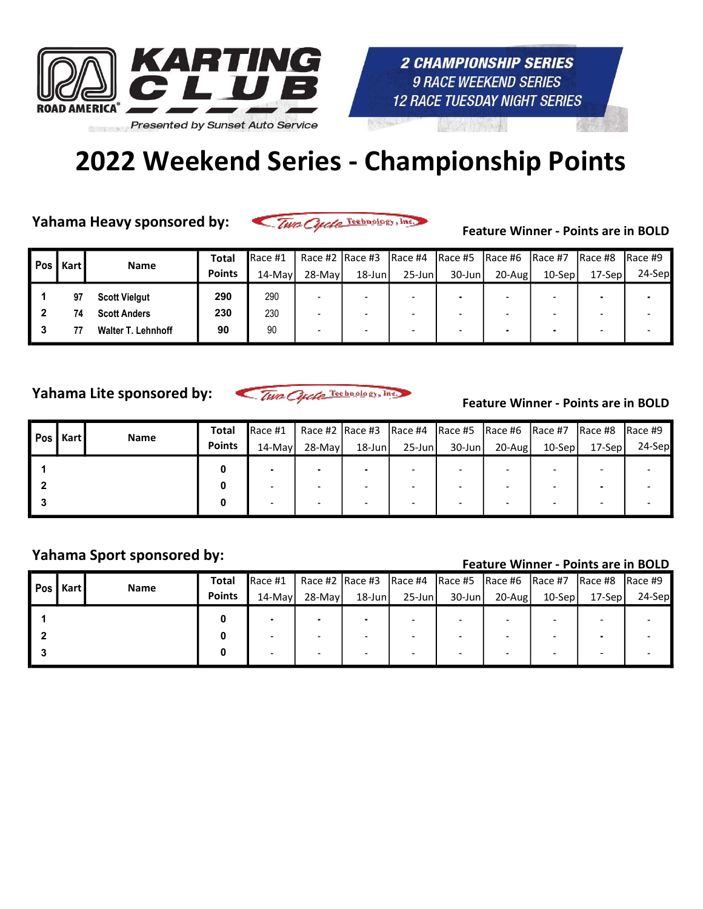

### 2022 Weekend Series - Championship Points

Yahama Heavy sponsored by:

Two Cycle Technology, Inc.

Feature Winner - Points are in BOLD

| Pos I | Kart | <b>Name</b>               | Total         | Race #1 | Race #2 $ $ Race #3 |           |           | $\vert$ Race #4 $\vert$ Race #5 $\vert$ Race #6 $\vert$ Race #7 |           |           | IRace #8 | Race #9 |
|-------|------|---------------------------|---------------|---------|---------------------|-----------|-----------|-----------------------------------------------------------------|-----------|-----------|----------|---------|
|       |      |                           | <b>Points</b> | 14-Mayl | 28-Mayl             | $18$ -Jun | $25$ -Jun | 30-Jun                                                          | $20$ -Aug | $10-$ Sep | 17-Sepl  | 24-Sep  |
|       | 97   | <b>Scott Vielgut</b>      | 290           | 290     |                     |           |           |                                                                 |           |           |          |         |
|       |      | <b>Scott Anders</b>       | 230           | 230     |                     |           |           |                                                                 |           |           |          |         |
|       |      | <b>Walter T. Lehnhoff</b> | 90            | 90      |                     |           |           |                                                                 |           |           |          |         |

Yahama Lite sponsored by:

Two Cycle Technology, Inc.

Feature Winner - Points are in BOLD

| Pos   Kart | Name | <b>Total</b>  | Race #1 |         |           |                          |           |        |           | Race #2  Race #3  Race #4  Race #5  Race #6  Race #7  Race #8  Race #9 |           |
|------------|------|---------------|---------|---------|-----------|--------------------------|-----------|--------|-----------|------------------------------------------------------------------------|-----------|
|            |      | <b>Points</b> | 14-Mayl | 28-Mayl | $18$ -Jun | $25$ -Jun                | $30$ -Jun | 20-Aug | $10-$ Sep | 17-Sepl                                                                | $24$ -Sep |
|            |      |               |         |         |           | $\overline{\phantom{0}}$ |           |        |           |                                                                        |           |
|            |      |               |         |         |           |                          |           |        |           | ۰                                                                      |           |
|            |      |               |         |         |           |                          |           |        |           |                                                                        |           |

### Yahama Sport sponsored by:<br>Feature Winner - Points are in BOLD

| Pos I | Kart | Name | <b>Total</b>  | Race #1 |         |           |           | Race #2   Race #3   Race #4   Race #5   Race #6   Race #7 |        |         | $\vert$ Race #8 $\vert$ Race #9 |        |
|-------|------|------|---------------|---------|---------|-----------|-----------|-----------------------------------------------------------|--------|---------|---------------------------------|--------|
|       |      |      | <b>Points</b> | 14-Mayl | 28-Mayl | $18$ -Jun | $25$ -Jun | $30$ -Jun                                                 | 20-Aug | 10-Sepl | 17-Sepl                         | 24-Sep |
|       |      |      |               |         |         |           |           |                                                           |        |         | -                               |        |
|       |      |      |               |         |         |           |           |                                                           |        |         |                                 |        |
|       |      |      |               |         |         |           |           |                                                           |        |         |                                 |        |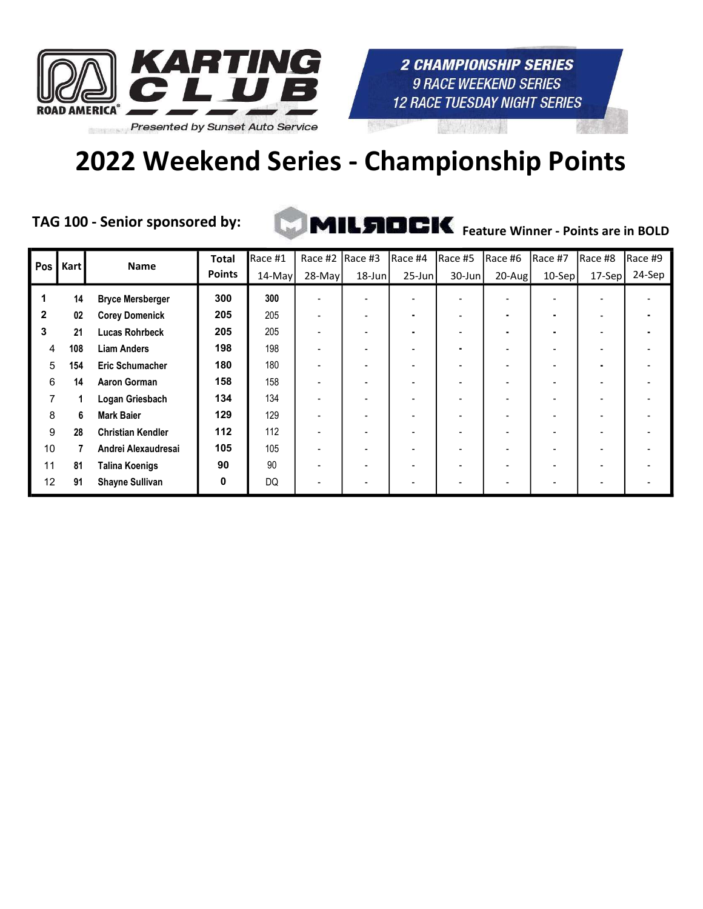

# 2022 Weekend Series - Championship Points

TAG 100 - Senior sponsored by:



| Pos          | <b>Kart</b> | <b>Name</b>              | <b>Total</b>  | Race #1   | Race #2  | $Race$ #3 | Race #4                  | Race #5                  | Race #6   | Race #7 | Race #8 | Race #9 |
|--------------|-------------|--------------------------|---------------|-----------|----------|-----------|--------------------------|--------------------------|-----------|---------|---------|---------|
|              |             |                          | <b>Points</b> | 14-May    | $28-May$ | 18-Jun    | $25$ -Jun                | $30$ -Jun                | $20$ -Aug | 10-Sep  | 17-Sep  | 24-Sep  |
| 1            | 14          | <b>Bryce Mersberger</b>  | 300           | 300       |          |           |                          | $\overline{\phantom{0}}$ |           |         |         |         |
| $\mathbf{2}$ | 02          | <b>Corey Domenick</b>    | 205           | 205       |          |           | $\blacksquare$           |                          |           |         | ٠       |         |
| 3            | 21          | <b>Lucas Rohrbeck</b>    | 205           | 205       |          |           | ٠                        |                          |           |         | ۰       |         |
| 4            | 108         | <b>Liam Anders</b>       | 198           | 198       |          |           | $\overline{\phantom{0}}$ |                          |           |         | ۰       |         |
| 5            | 154         | <b>Eric Schumacher</b>   | 180           | 180       |          |           | $\overline{\phantom{0}}$ |                          |           |         | ٠       |         |
| 6            | 14          | <b>Aaron Gorman</b>      | 158           | 158       |          |           | $\overline{\phantom{a}}$ |                          |           |         |         |         |
| 7            |             | Logan Griesbach          | 134           | 134       |          |           |                          |                          |           |         |         |         |
| 8            | 6           | <b>Mark Baier</b>        | 129           | 129       |          |           |                          |                          |           |         |         |         |
| 9            | 28          | <b>Christian Kendler</b> | 112           | 112       |          |           |                          |                          |           |         |         |         |
| 10           |             | Andrei Alexaudresai      | 105           | 105       |          |           |                          |                          |           |         |         |         |
| 11           | 81          | <b>Talina Koenigs</b>    | 90            | 90        |          |           | $\overline{\phantom{a}}$ |                          |           |         |         |         |
| 12           | 91          | <b>Shayne Sullivan</b>   | 0             | <b>DQ</b> |          |           | $\overline{\phantom{a}}$ |                          |           |         |         |         |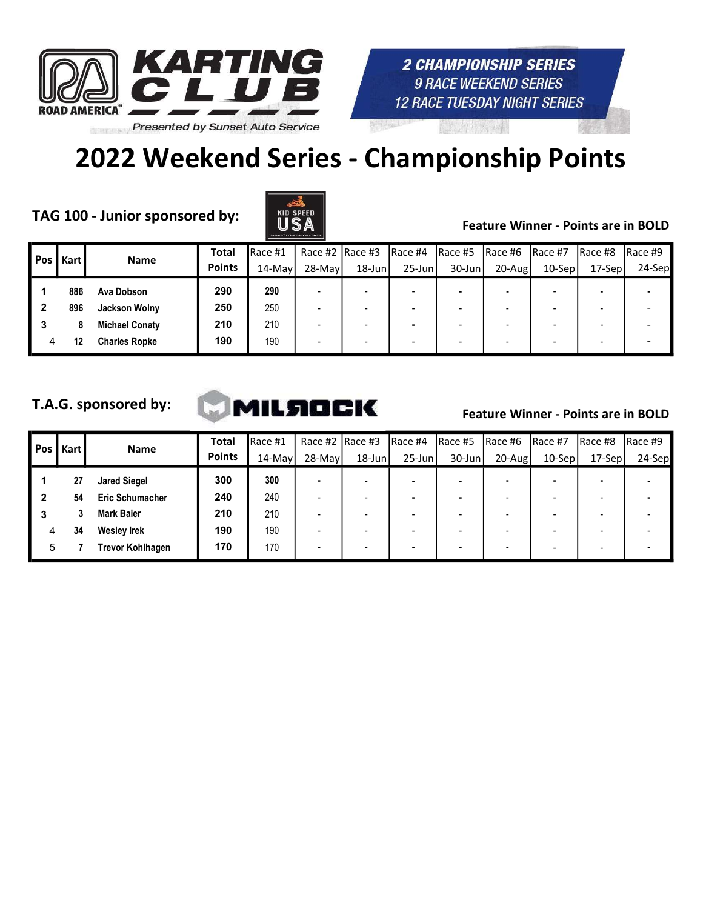

# 2022 Weekend Series - Championship Points

TAG 100 - Junior sponsored by:  $\begin{array}{c|c} \parallel & \parallel & \parallel & \parallel \end{array}$  Feature Winner - Points are in BOLD



| Pos | <b>Kart</b> | <b>Name</b>           | <b>Total</b>  | Race #1   | Race #2 $ $ Race #3 |        | IRace #4                 | IRace #5  | IRace #6   | IRace #7  | IRace #8                 | IRace #9 |
|-----|-------------|-----------------------|---------------|-----------|---------------------|--------|--------------------------|-----------|------------|-----------|--------------------------|----------|
|     |             |                       | <b>Points</b> | $14$ -May | $28-Mav$            | 18-Jun | $25$ -Jun                | $30$ -Jun | $20 - Aug$ | $10-$ Sep | $17-Sep$                 | 24-Sep   |
|     | 886         | Ava Dobson            | 290           | 290       |                     |        |                          |           |            |           |                          |          |
|     | 896         | Jackson Wolny         | 250           | 250       |                     |        | $\overline{\phantom{0}}$ |           | -          |           | $\overline{\phantom{0}}$ |          |
|     |             | <b>Michael Conaty</b> | 210           | 210       |                     |        | ٠                        |           | -          |           |                          |          |
| 4   | 12          | <b>Charles Ropke</b>  | 190           | 190       |                     |        | $\overline{\phantom{0}}$ |           |            |           |                          |          |

#### T.A.G. sponsored by:



| Pos | Kart | <b>Name</b>             | <b>Total</b>  | Race #1   | Race #2 $ $ Race #3 |        | IRace #4                 | Race #5   | $Race$ #6 | IRace #7  | Race #8  | IRace #9 |
|-----|------|-------------------------|---------------|-----------|---------------------|--------|--------------------------|-----------|-----------|-----------|----------|----------|
|     |      |                         | <b>Points</b> | $14$ -May | $28-May$            | 18-Jun | $25$ -Jun                | $30$ -Jun | $20$ -Aug | $10-$ Sep | $17-Sep$ | 24-Sep   |
|     | 27   | <b>Jared Siegel</b>     | 300           | 300       |                     |        |                          |           |           |           |          |          |
|     | 54   | <b>Eric Schumacher</b>  | 240           | 240       |                     |        |                          |           |           |           |          |          |
| 3   |      | <b>Mark Baier</b>       | 210           | 210       |                     |        | $\overline{\phantom{0}}$ |           |           |           |          |          |
| 4   | 34   | <b>Wesley Irek</b>      | 190           | 190       |                     |        |                          |           |           |           |          |          |
| 5   |      | <b>Trevor Kohlhagen</b> | 170           | 170       | $\blacksquare$      |        |                          |           |           |           |          |          |